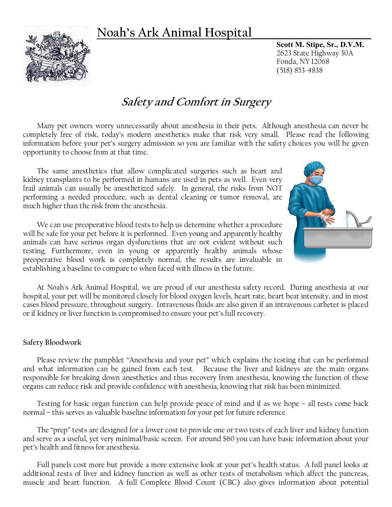## **Noah's Ark Animal Hospital\_\_\_\_\_\_\_\_\_\_\_\_\_\_\_\_\_\_\_\_\_\_\_**



**Scott M. Stipe, Sr., D.V.M.** 2623 State Highway 30A Fonda, NY 12068 (518) 853-4838

# **Safety and Comfort in Surgery**

Many pet owners worry unnecessarily about anesthesia in their pets. Although anesthesia can never be completely free of risk, today's modern anesthetics make that risk very small. Please read the following information before your pet's surgery admission so you are familiar with the safety choices you will be given opportunity to choose from at that time.

The same anesthetics that allow complicated surgeries such as heart and kidney transplants to be performed in humans are used in pets as well. Even very frail animals can usually be anesthetized safely. In general, the risks from NOT performing a needed procedure, such as dental cleaning or tumor removal, are much higher than the risk from the anesthesia.

We can use preoperative blood tests to help us determine whether a procedure will be safe for your pet before it is performed. Even young and apparently healthy animals can have serious organ dysfunctions that are not evident without such testing. Furthermore, even in young or apparently healthy animals whose preoperative blood work is completely normal, the results are invaluable in establishing a baseline to compare to when faced with illness in the future.



At Noah's Ark Animal Hospital, we are proud of our anesthesia safety record. During anesthesia at our hospital, your pet will be monitored closely for blood oxygen levels, heart rate, heart beat intensity, and in most cases blood pressure, throughout surgery. Intravenous fluids are also given if an intravenous catheter is placed or if kidney or liver function is compromised to ensure your pet's full recovery.

#### **Safety Bloodwork**

Please review the pamphlet "Anesthesia and your pet" which explains the testing that can be performed and what information can be gained from each test. Because the liver and kidneys are the main organs responsible for breaking down anesthetics and thus recovery from anesthesia, knowing the function of these organs can reduce risk and provide confidence with anesthesia, knowing that risk has been minimized.

Testing for basic organ function can help provide peace of mind and if as we hope – all tests come back normal – this serves as valuable baseline information for your pet for future reference.

The "prep" tests are designed for a lower cost to provide one or two tests of each liver and kidney function and serve as a useful, yet very minimal/basic screen. For around \$60 you can have basic information about your pet's health and fitness for anesthesia.

Full panels cost more but provide a more extensive look at your pet's health status. A full panel looks at additional tests of liver and kidney function as well as other tests of metabolism which affect the pancreas, muscle and heart function. A full Complete Blood Count (CBC) also gives information about potential